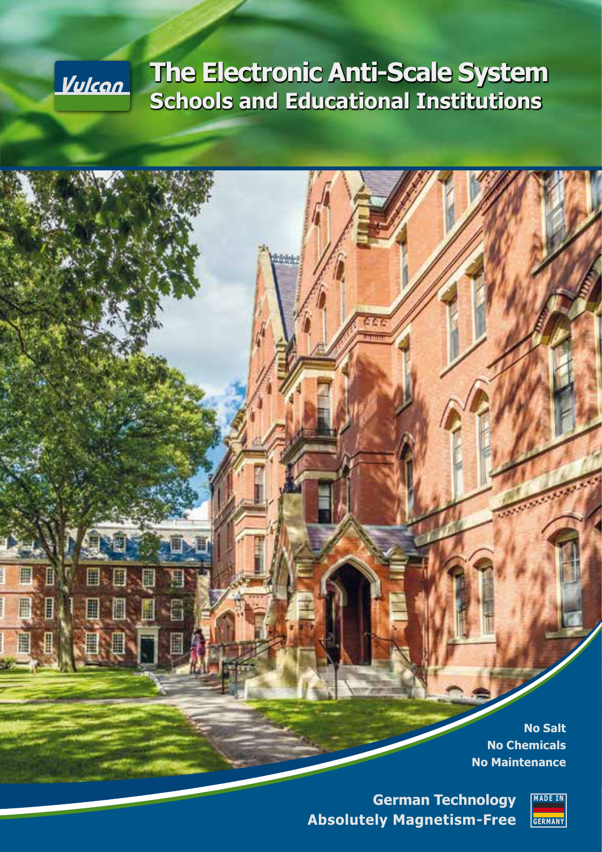# **The Electronic Anti-Scale System Schools and Educational Institutions**

<u>Vulcan</u>

E H

> **No Salt No Chemicals No Maintenance**

**German Technology Absolutely Magnetism-Free**

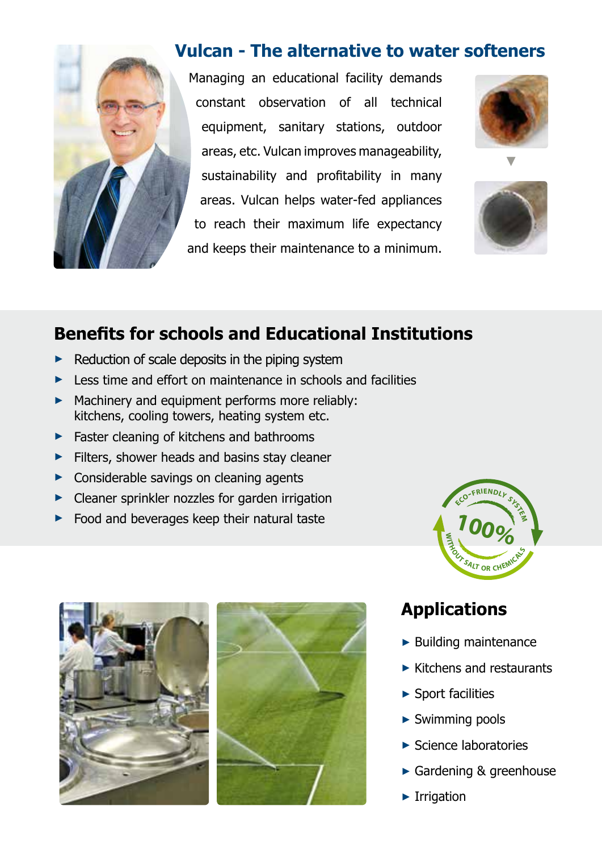

### **Vulcan - The alternative to water softeners**

Managing an educational facility demands constant observation of all technical equipment, sanitary stations, outdoor areas, etc. Vulcan improves manageability, sustainability and profitability in many areas. Vulcan helps water-fed appliances to reach their maximum life expectancy and keeps their maintenance to a minimum.



**►**



## **Benefits for schools and Educational Institutions**

- **►** Reduction of scale deposits in the piping system
- ► Less time and effort on maintenance in schools and facilities
- **►** Machinery and equipment performs more reliably: kitchens, cooling towers, heating system etc.
- **►** Faster cleaning of kitchens and bathrooms
- **►** Filters, shower heads and basins stay cleaner
- **►** Considerable savings on cleaning agents
- **►** Cleaner sprinkler nozzles for garden irrigation
- **►** Food and beverages keep their natural taste





## **Applications**

- **►** Building maintenance
- **►** Kitchens and restaurants
- **►** Sport facilities
- **►** Swimming pools
- **►** Science laboratories
- **►** Gardening & greenhouse
- **►** Irrigation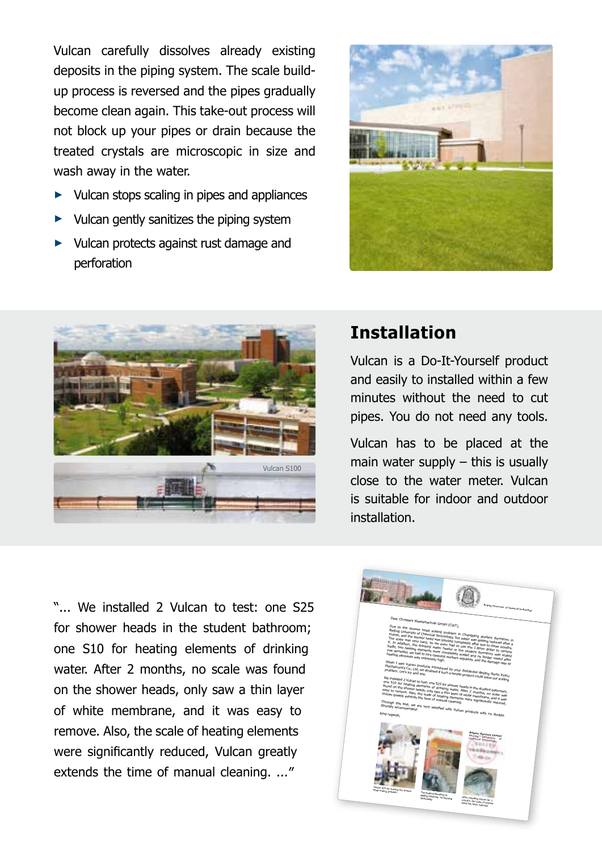Vulcan carefully dissolves already existing deposits in the piping system. The scale buildup process is reversed and the pipes gradually become clean again. This take-out process will not block up your pipes or drain because the treated crystals are microscopic in size and wash away in the water.

- ► Vulcan stops scaling in pipes and appliances
- ► Vulcan gently sanitizes the piping system
- ► Vulcan protects against rust damage and perforation





## **Installation**

Vulcan is a Do-It-Yourself product and easily to installed within a few minutes without the need to cut pipes. You do not need any tools.

Vulcan has to be placed at the main water supply  $-$  this is usually close to the water meter. Vulcan is suitable for indoor and outdoor installation.

"... We installed 2 Vulcan to test: one S25 for shower heads in the student bathroom; one S10 for heating elements of drinking water. After 2 months, no scale was found on the shower heads, only saw a thin layer of white membrane, and it was easy to remove. Also, the scale of heating elements were significantly reduced, Vulcan greatly extends the time of manual cleaning. ..."